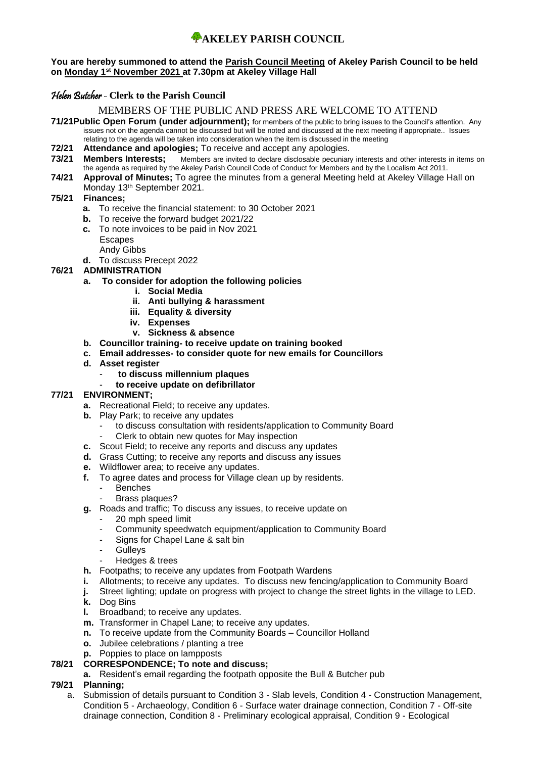#### **You are hereby summoned to attend the Parish Council Meeting of Akeley Parish Council to be held on Monday 1 st November 2021 at 7.30pm at Akeley Village Hall**

# Helen Butcher - **Clerk to the Parish Council**

# MEMBERS OF THE PUBLIC AND PRESS ARE WELCOME TO ATTEND

- **71/21Public Open Forum (under adjournment);** for members of the public to bring issues to the Council's attention. Any issues not on the agenda cannot be discussed but will be noted and discussed at the next meeting if appropriate.. Issues relating to the agenda will be taken into consideration when the item is discussed in the meeting
- **72/21 Attendance and apologies;** To receive and accept any apologies.
- **73/21 Members Interests;** Members are invited to declare disclosable pecuniary interests and other interests in items on the agenda as required by the Akeley Parish Council Code of Conduct for Members and by the Localism Act 2011.
- **74/21 Approval of Minutes;** To agree the minutes from a general Meeting held at Akeley Village Hall on Monday 13th September 2021.

## **75/21 Finances;**

- **a.** To receive the financial statement: to 30 October 2021
- **b.** To receive the forward budget 2021/22
- **c.** To note invoices to be paid in Nov 2021
	- Escapes
- Andy Gibbs
	- **d.** To discuss Precept 2022

# **76/21 ADMINISTRATION**

# **a. To consider for adoption the following policies**

- **i. Social Media**
- **ii. Anti bullying & harassment**
- **iii. Equality & diversity**
- **iv. Expenses**
- **v. Sickness & absence**
- **b. Councillor training- to receive update on training booked**
- **c. Email addresses- to consider quote for new emails for Councillors**
- **d. Asset register**
	- **to discuss millennium plaques**
	- **to receive update on defibrillator**

## **77/21 ENVIRONMENT;**

- **a.** Recreational Field; to receive any updates.
- **b.** Play Park; to receive any updates
	- to discuss consultation with residents/application to Community Board
	- Clerk to obtain new quotes for May inspection
- **c.** Scout Field; to receive any reports and discuss any updates
- **d.** Grass Cutting; to receive any reports and discuss any issues
- **e.** Wildflower area; to receive any updates.
- **f.** To agree dates and process for Village clean up by residents.
	- **Benches**
	- Brass plaques?
- **g.** Roads and traffic; To discuss any issues, to receive update on
	- 20 mph speed limit
	- Community speedwatch equipment/application to Community Board
	- Signs for Chapel Lane & salt bin
	- **Gullevs**
	- Hedges & trees
- **h.** Footpaths; to receive any updates from Footpath Wardens
- **i.** Allotments; to receive any updates. To discuss new fencing/application to Community Board
- **j.** Street lighting; update on progress with project to change the street lights in the village to LED.
- **k.** Dog Bins<br>**k.** Dog Bins
- **l.** Broadband; to receive any updates.
- **m.** Transformer in Chapel Lane; to receive any updates.
- **n.** To receive update from the Community Boards Councillor Holland
- **o.** Jubilee celebrations / planting a tree
- **p.** Poppies to place on lampposts

## **78/21 CORRESPONDENCE; To note and discuss;**

**a.** Resident's email regarding the footpath opposite the Bull & Butcher pub

## **79/21 Planning;**

a. Submission of details pursuant to Condition 3 - Slab levels, Condition 4 - Construction Management, Condition 5 - Archaeology, Condition 6 - Surface water drainage connection, Condition 7 - Off-site drainage connection, Condition 8 - Preliminary ecological appraisal, Condition 9 - Ecological